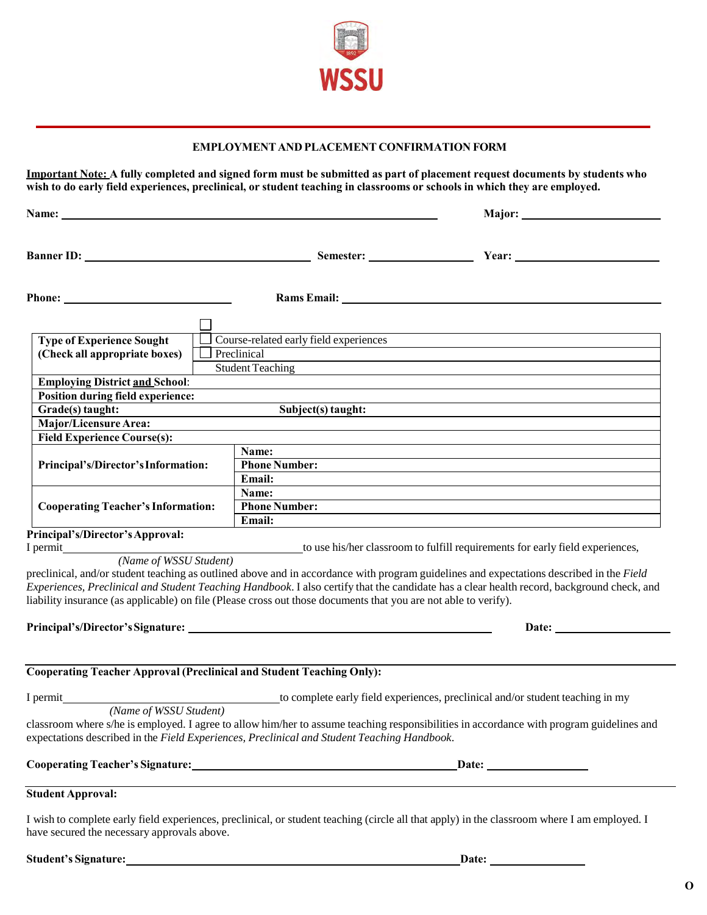

## **EMPLOYMENT AND PLACEMENT CONFIRMATION FORM**

**Important Note: A fully completed and signed form must be submitted as part of placement request documents by students who wish to do early field experiences, preclinical, or student teaching in classrooms or schools in which they are employed.**

|                                                                              |                         |                                                                                                                                                                                                                                                             | <b>Major:</b> Major:                                                                                                                         |
|------------------------------------------------------------------------------|-------------------------|-------------------------------------------------------------------------------------------------------------------------------------------------------------------------------------------------------------------------------------------------------------|----------------------------------------------------------------------------------------------------------------------------------------------|
|                                                                              |                         | Banner ID: Semester:                                                                                                                                                                                                                                        |                                                                                                                                              |
|                                                                              |                         | Rams Email: Name of the Contract of the Contract of the Contract of the Contract of the Contract of the Contract of the Contract of the Contract of the Contract of the Contract of the Contract of the Contract of the Contra                              |                                                                                                                                              |
|                                                                              |                         |                                                                                                                                                                                                                                                             |                                                                                                                                              |
| <b>Type of Experience Sought</b>                                             |                         | Course-related early field experiences                                                                                                                                                                                                                      |                                                                                                                                              |
| (Check all appropriate boxes)                                                | Preclinical             |                                                                                                                                                                                                                                                             |                                                                                                                                              |
|                                                                              | <b>Student Teaching</b> |                                                                                                                                                                                                                                                             |                                                                                                                                              |
| <b>Employing District and School:</b>                                        |                         |                                                                                                                                                                                                                                                             |                                                                                                                                              |
| <b>Position during field experience:</b>                                     |                         |                                                                                                                                                                                                                                                             |                                                                                                                                              |
| Grade(s) taught:                                                             |                         | Subject(s) taught:                                                                                                                                                                                                                                          |                                                                                                                                              |
| Major/Licensure Area:                                                        |                         |                                                                                                                                                                                                                                                             |                                                                                                                                              |
| <b>Field Experience Course(s):</b>                                           |                         |                                                                                                                                                                                                                                                             |                                                                                                                                              |
|                                                                              |                         | Name:                                                                                                                                                                                                                                                       |                                                                                                                                              |
| Principal's/Director's Information:                                          |                         | <b>Phone Number:</b>                                                                                                                                                                                                                                        |                                                                                                                                              |
|                                                                              |                         | Email:                                                                                                                                                                                                                                                      |                                                                                                                                              |
| <b>Cooperating Teacher's Information:</b>                                    |                         | Name:                                                                                                                                                                                                                                                       |                                                                                                                                              |
|                                                                              |                         | <b>Phone Number:</b>                                                                                                                                                                                                                                        |                                                                                                                                              |
|                                                                              |                         | Email:                                                                                                                                                                                                                                                      |                                                                                                                                              |
| Principal's/Director's Approval:                                             |                         |                                                                                                                                                                                                                                                             |                                                                                                                                              |
|                                                                              |                         |                                                                                                                                                                                                                                                             |                                                                                                                                              |
|                                                                              |                         | preclinical, and/or student teaching as outlined above and in accordance with program guidelines and expectations described in the Field<br>liability insurance (as applicable) on file (Please cross out those documents that you are not able to verify). | Experiences, Preclinical and Student Teaching Handbook. I also certify that the candidate has a clear health record, background check, and   |
|                                                                              |                         |                                                                                                                                                                                                                                                             |                                                                                                                                              |
| <b>Cooperating Teacher Approval (Preclinical and Student Teaching Only):</b> |                         |                                                                                                                                                                                                                                                             |                                                                                                                                              |
|                                                                              |                         |                                                                                                                                                                                                                                                             |                                                                                                                                              |
|                                                                              |                         | expectations described in the Field Experiences, Preclinical and Student Teaching Handbook.                                                                                                                                                                 | classroom where s/he is employed. I agree to allow him/her to assume teaching responsibilities in accordance with program guidelines and     |
|                                                                              |                         |                                                                                                                                                                                                                                                             |                                                                                                                                              |
| <b>Student Approval:</b>                                                     |                         | ,我们也不能在这里的时候,我们也不能在这里的时候,我们也不能会在这里的时候,我们也不能会在这里的时候,我们也不能会在这里的时候,我们也不能会在这里的时候,我们也                                                                                                                                                                            |                                                                                                                                              |
|                                                                              |                         |                                                                                                                                                                                                                                                             | I wish to complete early field experiences, preclinical, or student teaching (circle all that apply) in the classroom where I am employed. I |

I wish to complete early field experiences, preclinical, or student teaching (circle all that apply) in the classroom where I am employed. I have secured the necessary approvals above.

**Student's Signature:** <u>Date:</u> **Date: Date: Date: Date: Date: Date: Date: Date: Date: Date: Date: Date: Date: Date: Date: Date: Date: Date: Date: Date: Date: Date: Date: Date:**